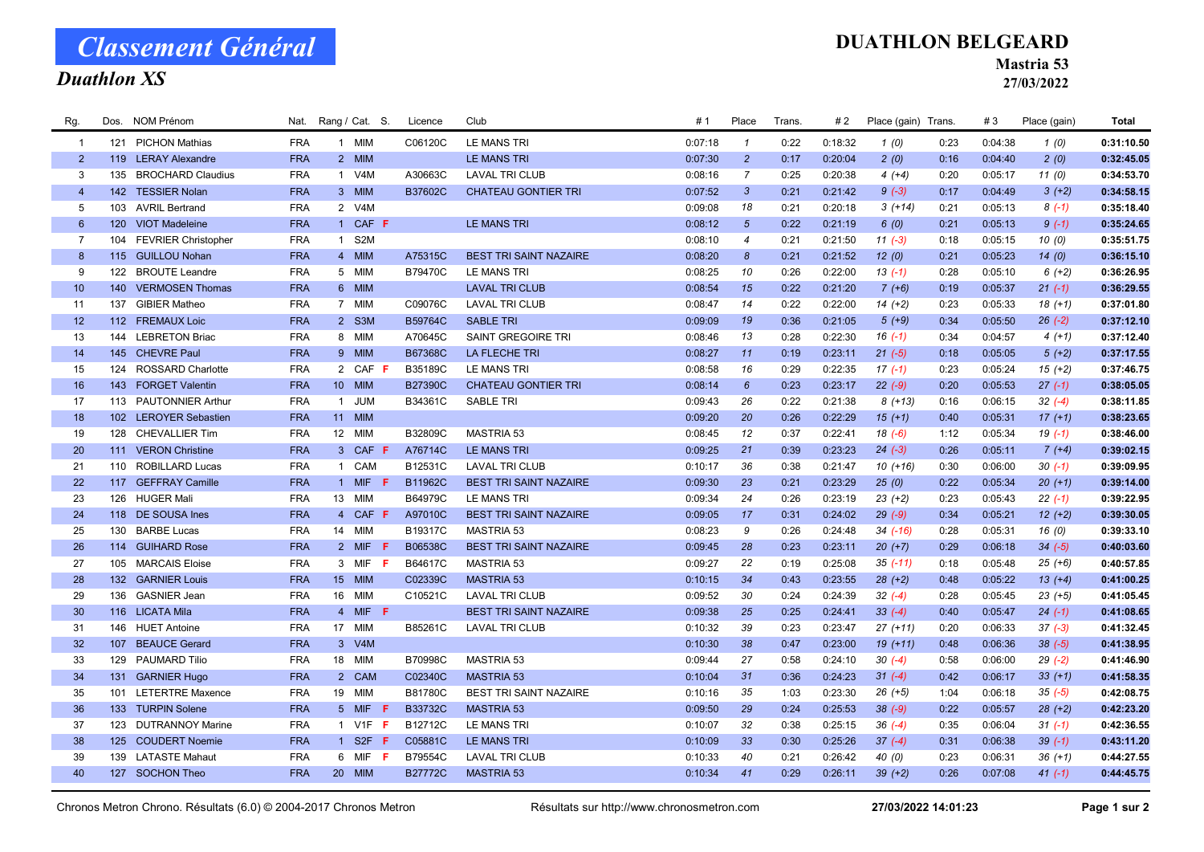## Classement Général

### Duathlon XS

#### DUATHLON BELGEARD

Mastria 53

27/03/2022

| Rg.             |     | Dos. NOM Prénom         | Nat.       |                | Rang / Cat. S. | Licence        | Club                          | #1      | Place            | Trans. | #2      | Place (gain) Trans. |      | #3      | Place (gain) | Total      |
|-----------------|-----|-------------------------|------------|----------------|----------------|----------------|-------------------------------|---------|------------------|--------|---------|---------------------|------|---------|--------------|------------|
| $\overline{1}$  |     | 121 PICHON Mathias      | <b>FRA</b> |                | 1 MIM          | C06120C        | LE MANS TRI                   | 0:07:18 | $\mathbf{1}$     | 0:22   | 0:18:32 | 1(0)                | 0:23 | 0:04:38 | 1(0)         | 0:31:10.50 |
| $\overline{2}$  |     | 119 LERAY Alexandre     | <b>FRA</b> |                | 2 MIM          |                | LE MANS TRI                   | 0:07:30 | $\overline{2}$   | 0:17   | 0:20:04 | 2(0)                | 0:16 | 0:04:40 | 2(0)         | 0:32:45.05 |
| 3               |     | 135 BROCHARD Claudius   | <b>FRA</b> |                | 1 V4M          | A30663C        | <b>LAVAL TRI CLUB</b>         | 0:08:16 | $\overline{7}$   | 0:25   | 0:20:38 | $4(+4)$             | 0:20 | 0:05:17 | 11(0)        | 0:34:53.70 |
| $\overline{4}$  |     | 142 TESSIER Nolan       | <b>FRA</b> |                | 3 MIM          | B37602C        | <b>CHATEAU GONTIER TRI</b>    | 0:07:52 | $\mathbf{3}$     | 0:21   | 0:21:42 | $9(-3)$             | 0:17 | 0:04:49 | $3(+2)$      | 0:34:58.15 |
| 5               |     | 103 AVRIL Bertrand      | <b>FRA</b> |                | 2 V4M          |                |                               | 0:09:08 | 18               | 0:21   | 0:20:18 | $3(+14)$            | 0:21 | 0:05:13 | $8(-1)$      | 0:35:18.40 |
| $6\overline{6}$ |     | 120 VIOT Madeleine      | <b>FRA</b> |                | 1 CAF F        |                | <b>LE MANS TRI</b>            | 0:08:12 | $5\overline{5}$  | 0:22   | 0:21:19 | 6(0)                | 0:21 | 0:05:13 | $9(-1)$      | 0:35:24.65 |
| $\overline{7}$  |     | 104 FEVRIER Christopher | <b>FRA</b> |                | 1 S2M          |                |                               | 0:08:10 | $\overline{4}$   | 0:21   | 0:21:50 | $11(-3)$            | 0:18 | 0:05:15 | 10(0)        | 0:35:51.75 |
| 8               |     | 115 GUILLOU Nohan       | <b>FRA</b> |                | 4 MIM          | A75315C        | <b>BEST TRI SAINT NAZAIRE</b> | 0:08:20 | $\boldsymbol{8}$ | 0:21   | 0:21:52 | 12(0)               | 0:21 | 0:05:23 | 14(0)        | 0:36:15.10 |
| 9               |     | 122 BROUTE Leandre      | <b>FRA</b> |                | 5 MIM          | B79470C        | LE MANS TRI                   | 0:08:25 | 10               | 0:26   | 0:22:00 | $13(-1)$            | 0:28 | 0:05:10 | $6 (+2)$     | 0:36:26.95 |
| 10 <sup>°</sup> |     | 140 VERMOSEN Thomas     | <b>FRA</b> |                | 6 MIM          |                | <b>LAVAL TRI CLUB</b>         | 0:08:54 | 15               | 0:22   | 0:21:20 | $7 (+6)$            | 0:19 | 0:05:37 | $21(-1)$     | 0:36:29.55 |
| 11              |     | 137 GIBIER Matheo       | <b>FRA</b> |                | 7 MIM          | C09076C        | <b>LAVAL TRI CLUB</b>         | 0:08:47 | 14               | 0:22   | 0:22:00 | $14 (+2)$           | 0:23 | 0:05:33 | $18(+1)$     | 0:37:01.80 |
| 12              |     | 112 FREMAUX Loic        | <b>FRA</b> |                | 2 S3M          | B59764C        | <b>SABLE TRI</b>              | 0:09:09 | 19               | 0:36   | 0:21:05 | $5(+9)$             | 0:34 | 0:05:50 | $26(-2)$     | 0:37:12.10 |
| 13              |     | 144 LEBRETON Briac      | <b>FRA</b> |                | 8 MIM          | A70645C        | SAINT GREGOIRE TRI            | 0:08:46 | 13               | 0:28   | 0:22:30 | $16( -1)$           | 0:34 | 0:04:57 | $4(+1)$      | 0:37:12.40 |
| 14              |     | 145 CHEVRE Paul         | <b>FRA</b> |                | 9 MIM          | B67368C        | <b>LA FLECHE TRI</b>          | 0:08:27 | 11               | 0:19   | 0:23:11 | $21 (-5)$           | 0:18 | 0:05:05 | $5(+2)$      | 0:37:17.55 |
| 15              |     | 124 ROSSARD Charlotte   | <b>FRA</b> |                | 2 CAF F        | B35189C        | LE MANS TRI                   | 0:08:58 | 16               | 0:29   | 0:22:35 | $17(-1)$            | 0:23 | 0:05:24 | $15 (+2)$    | 0:37:46.75 |
| 16              |     | 143 FORGET Valentin     | <b>FRA</b> |                | 10 MIM         | <b>B27390C</b> | <b>CHATEAU GONTIER TRI</b>    | 0:08:14 | $6\phantom{.}6$  | 0:23   | 0:23:17 | $22 (-9)$           | 0:20 | 0:05:53 | $27(-1)$     | 0:38:05.05 |
| 17              |     | 113 PAUTONNIER Arthur   | <b>FRA</b> | $\overline{1}$ | <b>JUM</b>     | B34361C        | <b>SABLE TRI</b>              | 0:09:43 | 26               | 0:22   | 0:21:38 | $8(+13)$            | 0:16 | 0:06:15 | $32(-4)$     | 0:38:11.85 |
| 18              |     | 102 LEROYER Sebastien   | <b>FRA</b> |                | 11 MIM         |                |                               | 0:09:20 | 20               | 0:26   | 0:22:29 | $15(+1)$            | 0:40 | 0:05:31 | $17(+1)$     | 0:38:23.65 |
| 19              |     | 128 CHEVALLIER Tim      | <b>FRA</b> |                | 12 MIM         | B32809C        | MASTRIA 53                    | 0:08:45 | 12               | 0:37   | 0:22:41 | $18(-6)$            | 1:12 | 0:05:34 | $19( -1)$    | 0:38:46.00 |
| 20              |     | 111 VERON Christine     | <b>FRA</b> |                | 3 CAF F        | A76714C        | LE MANS TRI                   | 0:09:25 | 21               | 0:39   | 0:23:23 | $24 (-3)$           | 0:26 | 0:05:11 | $7(+4)$      | 0:39:02.15 |
| 21              |     | 110 ROBILLARD Lucas     | <b>FRA</b> |                | 1 CAM          | B12531C        | <b>LAVAL TRI CLUB</b>         | 0:10:17 | 36               | 0:38   | 0:21:47 | $10(+16)$           | 0:30 | 0:06:00 | $30(-1)$     | 0:39:09.95 |
| 22              |     | 117 GEFFRAY Camille     | <b>FRA</b> |                | 1 MIF $F$      | B11962C        | <b>BEST TRI SAINT NAZAIRE</b> | 0:09:30 | 23               | 0:21   | 0:23:29 | 25(0)               | 0:22 | 0:05:34 | $20 (+1)$    | 0:39:14.00 |
| 23              |     | 126 HUGER Mali          | <b>FRA</b> |                | 13 MIM         | B64979C        | LE MANS TRI                   | 0:09:34 | 24               | 0:26   | 0:23:19 | $23 (+2)$           | 0:23 | 0:05:43 | $22(-1)$     | 0:39:22.95 |
| 24              |     | 118 DE SOUSA Ines       | <b>FRA</b> |                | 4 CAF F        | A97010C        | <b>BEST TRI SAINT NAZAIRE</b> | 0:09:05 | 17               | 0:31   | 0:24:02 | $29(-9)$            | 0:34 | 0:05:21 | $12 (+2)$    | 0:39:30.05 |
| 25              |     | 130 BARBE Lucas         | <b>FRA</b> |                | 14 MIM         | B19317C        | <b>MASTRIA 53</b>             | 0:08:23 | 9                | 0:26   | 0:24:48 | $34$ $(-16)$        | 0:28 | 0:05:31 | 16(0)        | 0:39:33.10 |
| 26              |     | 114 GUIHARD Rose        | <b>FRA</b> |                | 2 MIF F        | B06538C        | <b>BEST TRI SAINT NAZAIRE</b> | 0:09:45 | 28               | 0:23   | 0:23:11 | $20 (+7)$           | 0:29 | 0:06:18 | $34 (-5)$    | 0:40:03.60 |
| 27              |     | 105 MARCAIS Eloise      | <b>FRA</b> |                | 3 MIF F        | B64617C        | MASTRIA 53                    | 0:09:27 | 22               | 0:19   | 0:25:08 | $35( -11)$          | 0:18 | 0:05:48 | $25 (+6)$    | 0:40:57.85 |
| 28              |     | 132 GARNIER Louis       | <b>FRA</b> |                | 15 MIM         | C02339C        | <b>MASTRIA 53</b>             | 0:10:15 | 34               | 0:43   | 0:23:55 | $28 (+2)$           | 0:48 | 0:05:22 | $13 (+4)$    | 0:41:00.25 |
| 29              |     | 136 GASNIER Jean        | <b>FRA</b> |                | 16 MIM         | C10521C        | <b>LAVAL TRI CLUB</b>         | 0:09:52 | 30               | 0:24   | 0:24:39 | $32(-4)$            | 0:28 | 0:05:45 | $23 (+5)$    | 0:41:05.45 |
| 30              |     | 116 LICATA Mila         | <b>FRA</b> |                | 4 MIF F        |                | <b>BEST TRI SAINT NAZAIRE</b> | 0:09:38 | 25               | 0:25   | 0:24:41 | $33(-4)$            | 0:40 | 0:05:47 | $24 (-1)$    | 0:41:08.65 |
| 31              |     | 146 HUET Antoine        | <b>FRA</b> |                | 17 MIM         | B85261C        | <b>LAVAL TRI CLUB</b>         | 0:10:32 | 39               | 0:23   | 0:23:47 | $27 (+11)$          | 0:20 | 0:06:33 | $37 (-3)$    | 0:41:32.45 |
| 32              | 107 | <b>BEAUCE Gerard</b>    | <b>FRA</b> |                | 3 V4M          |                |                               | 0:10:30 | 38               | 0:47   | 0:23:00 | $19(+11)$           | 0:48 | 0:06:36 | $38(-5)$     | 0:41:38.95 |
| 33              |     | 129 PAUMARD Tilio       | <b>FRA</b> |                | 18 MIM         | B70998C        | <b>MASTRIA 53</b>             | 0:09:44 | 27               | 0:58   | 0:24:10 | $30(-4)$            | 0:58 | 0:06:00 | $29(-2)$     | 0:41:46.90 |
| 34              |     | 131 GARNIER Hugo        | <b>FRA</b> |                | 2 CAM          | C02340C        | <b>MASTRIA 53</b>             | 0:10:04 | 31               | 0:36   | 0:24:23 | $31 (-4)$           | 0:42 | 0:06:17 | $33 (+1)$    | 0:41:58.35 |
| 35              |     | 101 LETERTRE Maxence    | <b>FRA</b> |                | 19 MIM         | B81780C        | <b>BEST TRI SAINT NAZAIRE</b> | 0:10:16 | 35               | 1:03   | 0:23:30 | $26 (+5)$           | 1:04 | 0:06:18 | $35 (-5)$    | 0:42:08.75 |
| 36              |     | 133 TURPIN Solene       | <b>FRA</b> |                | 5 MIF<br>-F    | B33732C        | <b>MASTRIA 53</b>             | 0:09:50 | 29               | 0:24   | 0:25:53 | $38(-9)$            | 0:22 | 0:05:57 | $28 (+2)$    | 0:42:23.20 |
| 37              |     | 123 DUTRANNOY Marine    | <b>FRA</b> |                | 1 V1F F        | B12712C        | LE MANS TRI                   | 0:10:07 | 32               | 0:38   | 0:25:15 | $36(-4)$            | 0:35 | 0:06:04 | $31 (-1)$    | 0:42:36.55 |
| 38              |     | 125 COUDERT Noemie      | <b>FRA</b> |                | 1 S2F $F$      | C05881C        | <b>LE MANS TRI</b>            | 0:10:09 | 33               | 0:30   | 0:25:26 | $37 (-4)$           | 0:31 | 0:06:38 | $39(-1)$     | 0:43:11.20 |
| 39              |     | 139 LATASTE Mahaut      | <b>FRA</b> |                | 6 MIF F        | B79554C        | <b>LAVAL TRI CLUB</b>         | 0:10:33 | 40               | 0:21   | 0:26:42 | 40(0)               | 0:23 | 0:06:31 | $36 (+1)$    | 0:44:27.55 |
| 40              |     | 127 SOCHON Theo         | <b>FRA</b> |                | 20 MIM         | <b>B27772C</b> | <b>MASTRIA 53</b>             | 0:10:34 | 41               | 0:29   | 0:26:11 | $39 (+2)$           | 0:26 | 0:07:08 | $41 (-1)$    | 0:44:45.75 |
|                 |     |                         |            |                |                |                |                               |         |                  |        |         |                     |      |         |              |            |

Chronos Metron Chrono. Résultats (6.0) © 2004-2017 Chronos Metron Résultats sur http://www.chronosmetron.com 27/03/2022 14:01:23 Page 1 sur 2